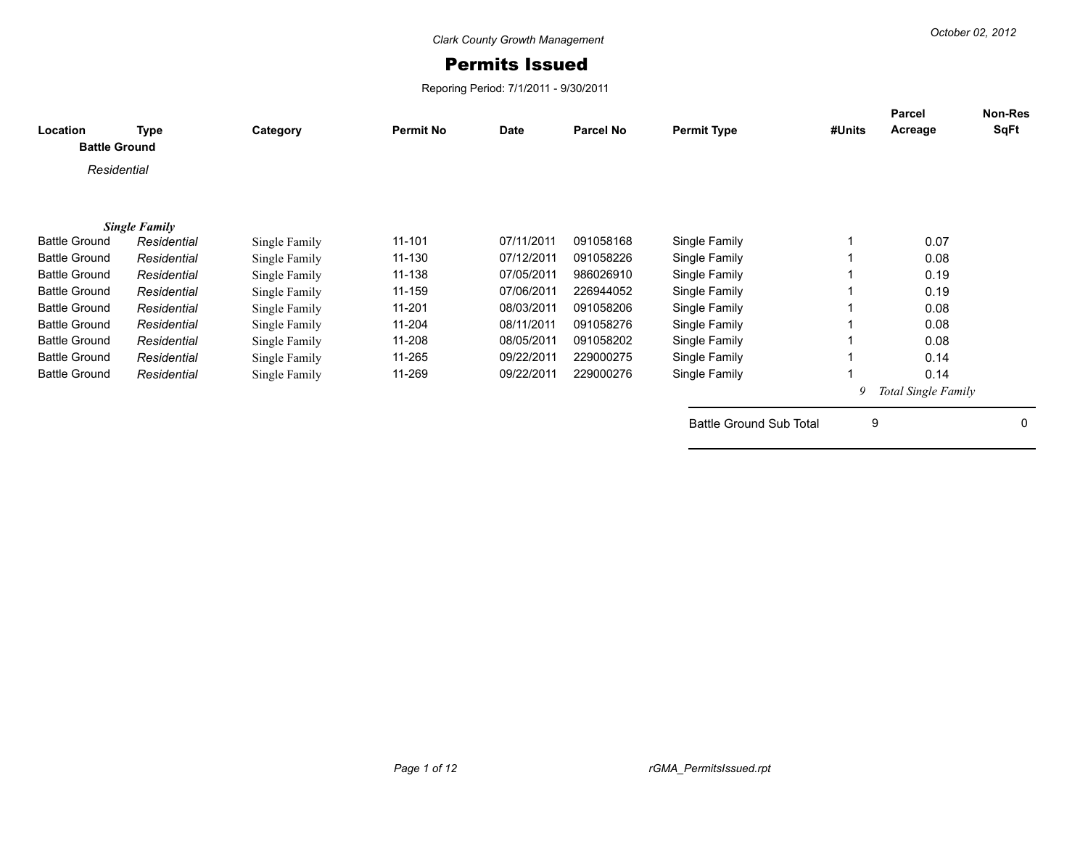## Permits Issued

Reporing Period: 7/1/2011 - 9/30/2011

| <b>Location</b><br><b>Battle Ground</b> | Type                 | Category      | <b>Permit No</b> | <b>Date</b> | <b>Parcel No</b> | <b>Permit Type</b>             | #Units | <b>Parcel</b><br>Acreage | <b>Non-Res</b><br>SqFt |
|-----------------------------------------|----------------------|---------------|------------------|-------------|------------------|--------------------------------|--------|--------------------------|------------------------|
|                                         |                      |               |                  |             |                  |                                |        |                          |                        |
| Residential                             |                      |               |                  |             |                  |                                |        |                          |                        |
|                                         |                      |               |                  |             |                  |                                |        |                          |                        |
|                                         | <b>Single Family</b> |               |                  |             |                  |                                |        |                          |                        |
| <b>Battle Ground</b>                    | Residential          | Single Family | $11 - 101$       | 07/11/2011  | 091058168        | Single Family                  |        | 0.07                     |                        |
| <b>Battle Ground</b>                    | Residential          | Single Family | 11-130           | 07/12/2011  | 091058226        | Single Family                  |        | 0.08                     |                        |
| <b>Battle Ground</b>                    | Residential          | Single Family | 11-138           | 07/05/2011  | 986026910        | Single Family                  |        | 0.19                     |                        |
| <b>Battle Ground</b>                    | Residential          | Single Family | 11-159           | 07/06/2011  | 226944052        | Single Family                  |        | 0.19                     |                        |
| <b>Battle Ground</b>                    | Residential          | Single Family | 11-201           | 08/03/2011  | 091058206        | Single Family                  |        | 0.08                     |                        |
| <b>Battle Ground</b>                    | Residential          | Single Family | 11-204           | 08/11/2011  | 091058276        | Single Family                  |        | 0.08                     |                        |
| <b>Battle Ground</b>                    | Residential          | Single Family | 11-208           | 08/05/2011  | 091058202        | Single Family                  |        | 0.08                     |                        |
| <b>Battle Ground</b>                    | Residential          | Single Family | 11-265           | 09/22/2011  | 229000275        | Single Family                  |        | 0.14                     |                        |
| <b>Battle Ground</b>                    | Residential          | Single Family | 11-269           | 09/22/2011  | 229000276        | Single Family                  |        | 0.14                     |                        |
|                                         |                      |               |                  |             |                  |                                | 9      | Total Single Family      |                        |
|                                         |                      |               |                  |             |                  | <b>Battle Ground Sub Total</b> | 9      |                          | 0                      |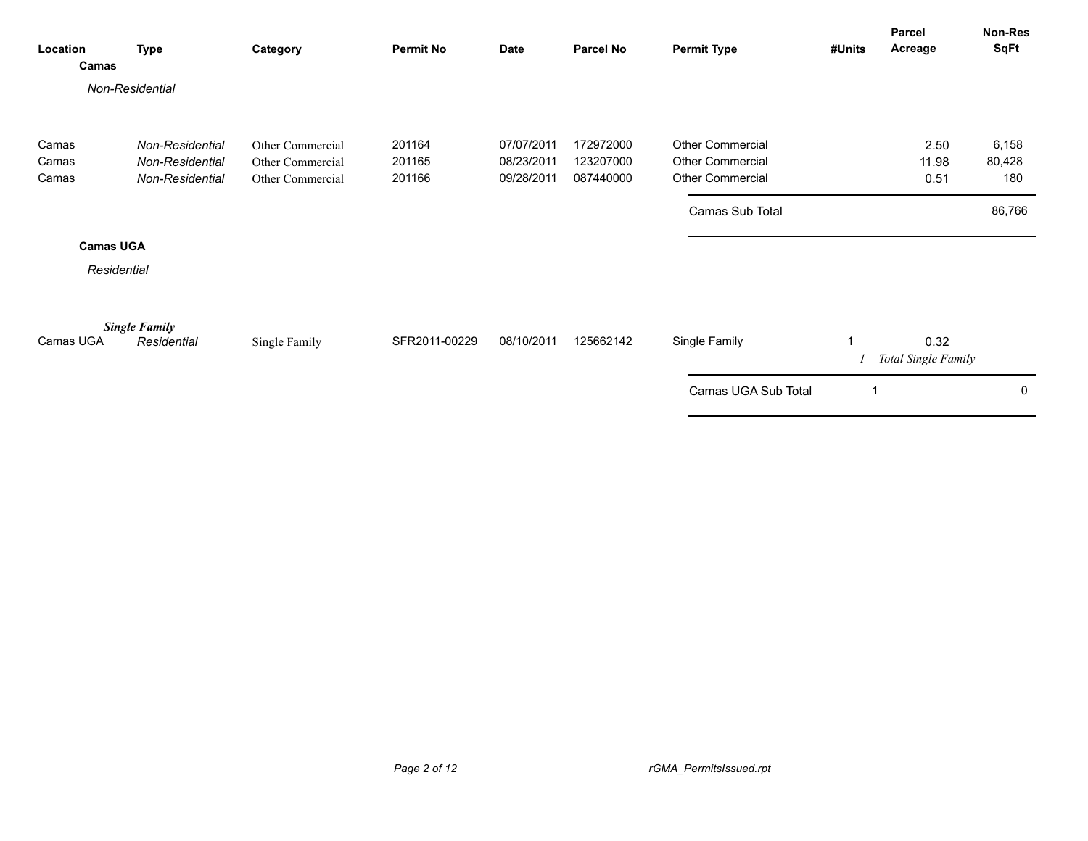| Location<br>Camas | <b>Type</b>          | Category         | <b>Permit No</b> | <b>Date</b> | <b>Parcel No</b> | <b>Permit Type</b>      | #Units | Parcel<br>Acreage           | Non-Res<br><b>SqFt</b> |
|-------------------|----------------------|------------------|------------------|-------------|------------------|-------------------------|--------|-----------------------------|------------------------|
|                   | Non-Residential      |                  |                  |             |                  |                         |        |                             |                        |
| Camas             | Non-Residential      | Other Commercial | 201164           | 07/07/2011  | 172972000        | <b>Other Commercial</b> |        | 2.50                        | 6,158                  |
| Camas             | Non-Residential      | Other Commercial | 201165           | 08/23/2011  | 123207000        | <b>Other Commercial</b> |        | 11.98                       | 80,428                 |
| Camas             | Non-Residential      | Other Commercial | 201166           | 09/28/2011  | 087440000        | <b>Other Commercial</b> |        | 0.51                        | 180                    |
|                   |                      |                  |                  |             |                  | Camas Sub Total         |        |                             | 86,766                 |
| <b>Camas UGA</b>  |                      |                  |                  |             |                  |                         |        |                             |                        |
| Residential       |                      |                  |                  |             |                  |                         |        |                             |                        |
|                   | <b>Single Family</b> |                  |                  |             |                  |                         |        |                             |                        |
| Camas UGA         | Residential          | Single Family    | SFR2011-00229    | 08/10/2011  | 125662142        | Single Family           |        | 0.32<br>Total Single Family |                        |
|                   |                      |                  |                  |             |                  | Camas UGA Sub Total     | 1      |                             | $\mathbf 0$            |
|                   |                      |                  |                  |             |                  |                         |        |                             |                        |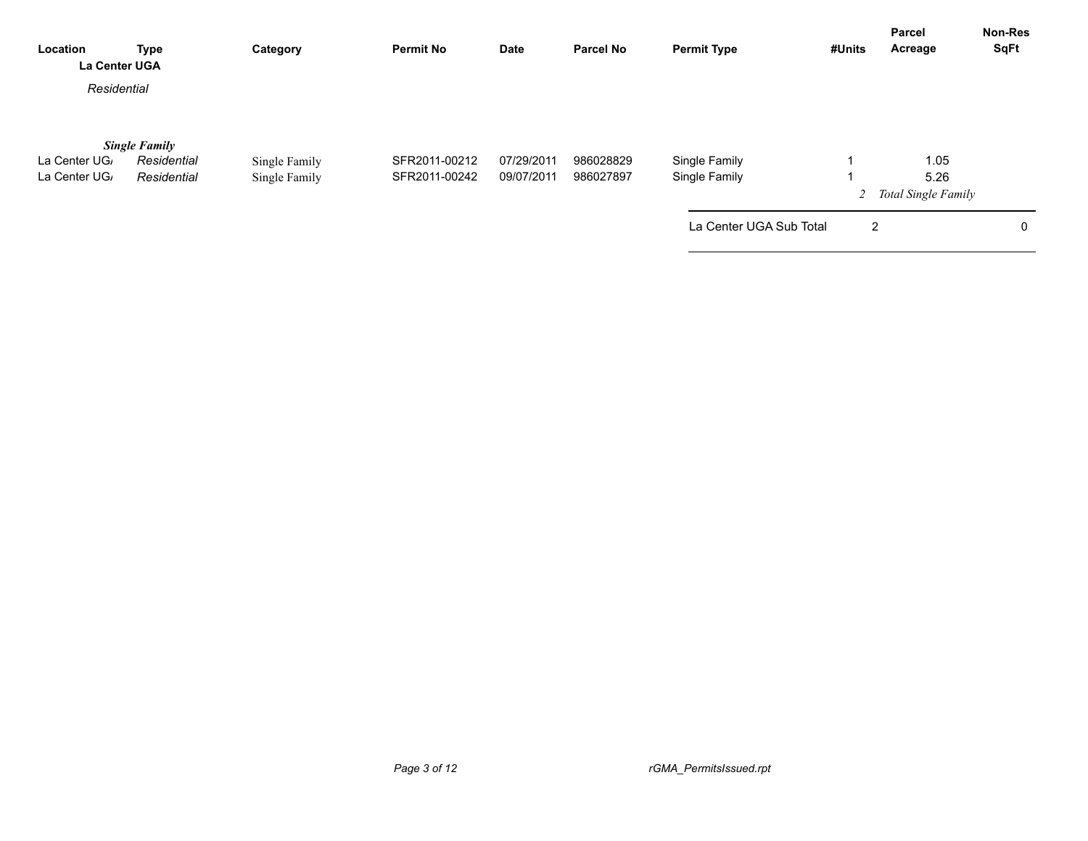| Location<br><b>La Center UGA</b>          | <b>Type</b>                                        | Category                       | <b>Permit No</b>               | Date                     | <b>Parcel No</b>       | <b>Permit Type</b>             | #Units         | Parcel<br>Acreage                     | <b>Non-Res</b><br><b>SqFt</b> |
|-------------------------------------------|----------------------------------------------------|--------------------------------|--------------------------------|--------------------------|------------------------|--------------------------------|----------------|---------------------------------------|-------------------------------|
| Residential                               |                                                    |                                |                                |                          |                        |                                |                |                                       |                               |
| La Center UG <sub>/</sub><br>La Center UG | <b>Single Family</b><br>Residential<br>Residential | Single Family<br>Single Family | SFR2011-00212<br>SFR2011-00242 | 07/29/2011<br>09/07/2011 | 986028829<br>986027897 | Single Family<br>Single Family |                | 1.05<br>5.26<br>2 Total Single Family |                               |
|                                           |                                                    |                                |                                |                          |                        | La Center UGA Sub Total        | $\overline{2}$ |                                       | 0                             |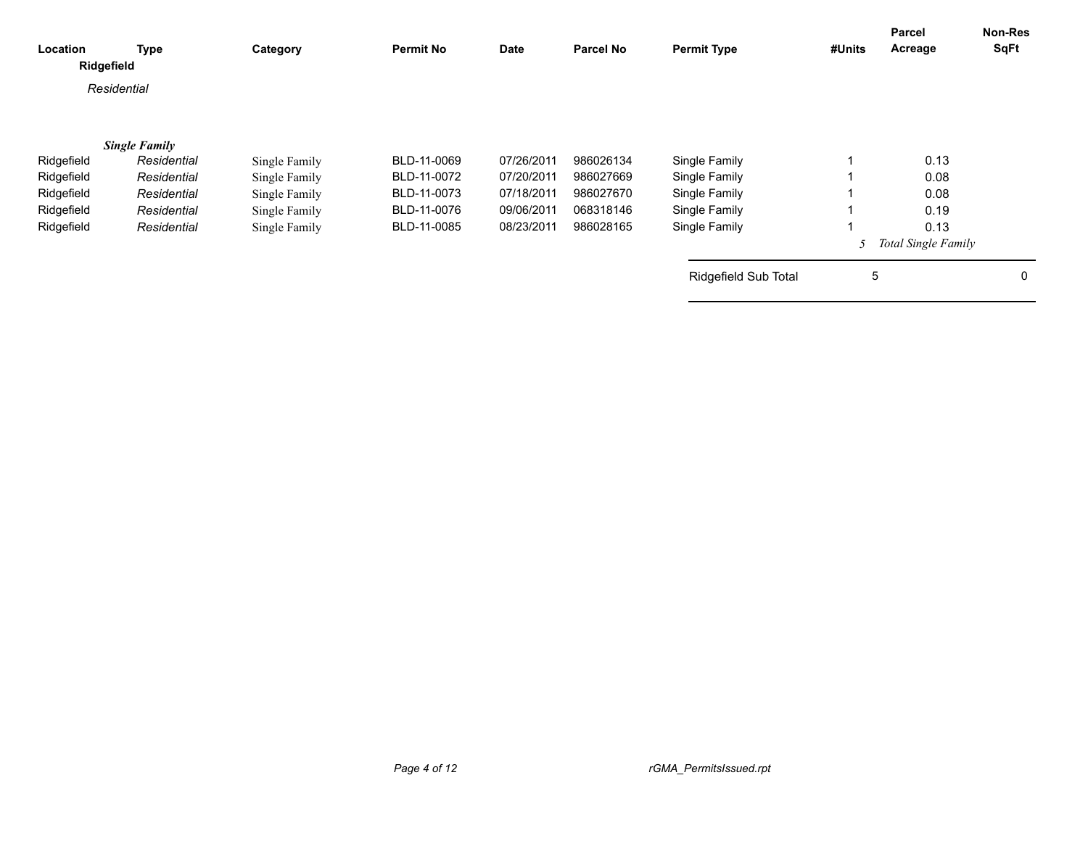| Location<br>Ridgefield | <b>Type</b>          | Category      | <b>Permit No</b> | Date       | <b>Parcel No</b> | <b>Permit Type</b>          | #Units | Parcel<br>Acreage          | <b>Non-Res</b><br><b>SqFt</b> |
|------------------------|----------------------|---------------|------------------|------------|------------------|-----------------------------|--------|----------------------------|-------------------------------|
|                        | Residential          |               |                  |            |                  |                             |        |                            |                               |
|                        | <b>Single Family</b> |               |                  |            |                  |                             |        |                            |                               |
| Ridgefield             | Residential          | Single Family | BLD-11-0069      | 07/26/2011 | 986026134        | Single Family               |        | 0.13                       |                               |
| Ridgefield             | Residential          | Single Family | BLD-11-0072      | 07/20/2011 | 986027669        | Single Family               |        | 0.08                       |                               |
| Ridgefield             | Residential          | Single Family | BLD-11-0073      | 07/18/2011 | 986027670        | Single Family               |        | 0.08                       |                               |
| Ridgefield             | Residential          | Single Family | BLD-11-0076      | 09/06/2011 | 068318146        | Single Family               |        | 0.19                       |                               |
| Ridgefield             | Residential          | Single Family | BLD-11-0085      | 08/23/2011 | 986028165        | Single Family               |        | 0.13                       |                               |
|                        |                      |               |                  |            |                  |                             |        | <b>Total Single Family</b> |                               |
|                        |                      |               |                  |            |                  | <b>Ridgefield Sub Total</b> | 5      |                            | 0                             |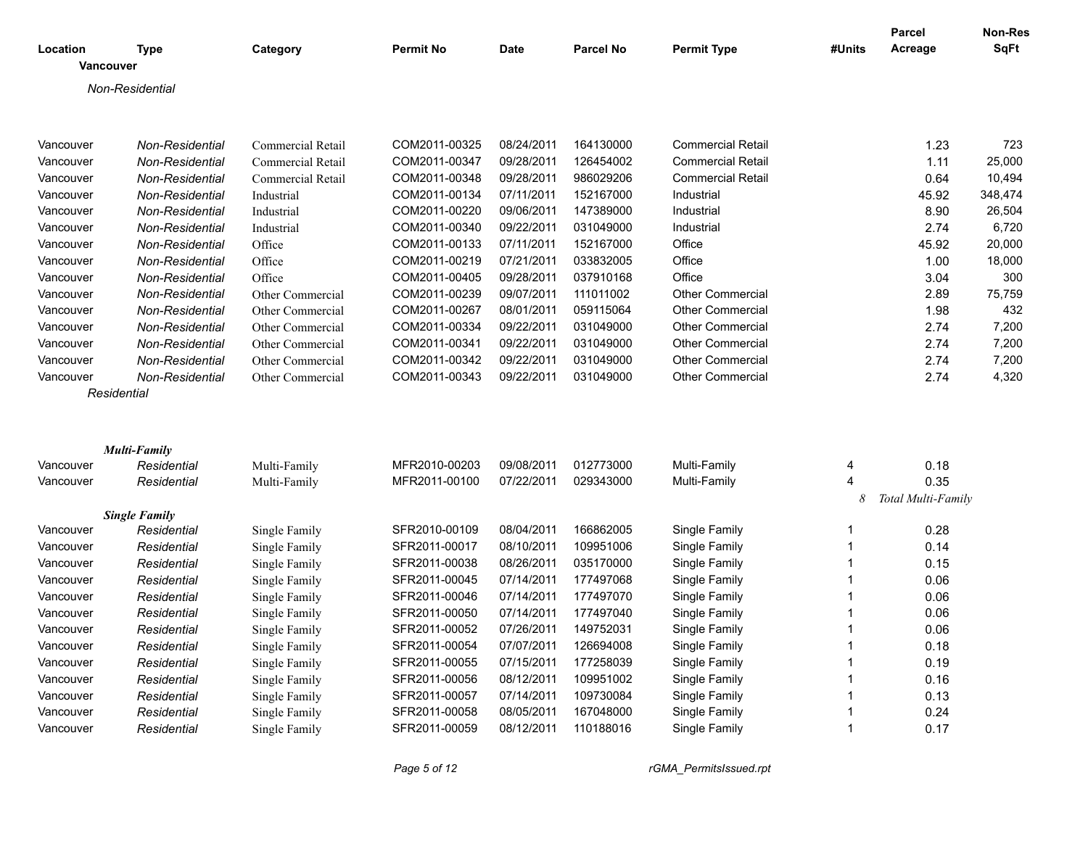| Location    | <b>Type</b>          | Category                 | <b>Permit No</b> | <b>Date</b> | <b>Parcel No</b> | <b>Permit Type</b>       | #Units | Parcel<br>Acreage  | Non-Res<br><b>SqFt</b> |
|-------------|----------------------|--------------------------|------------------|-------------|------------------|--------------------------|--------|--------------------|------------------------|
| Vancouver   |                      |                          |                  |             |                  |                          |        |                    |                        |
|             | Non-Residential      |                          |                  |             |                  |                          |        |                    |                        |
|             |                      |                          |                  |             |                  |                          |        |                    |                        |
|             |                      |                          |                  |             |                  |                          |        |                    |                        |
| Vancouver   | Non-Residential      | <b>Commercial Retail</b> | COM2011-00325    | 08/24/2011  | 164130000        | <b>Commercial Retail</b> |        | 1.23               | 723                    |
| Vancouver   | Non-Residential      | Commercial Retail        | COM2011-00347    | 09/28/2011  | 126454002        | <b>Commercial Retail</b> |        | 1.11               | 25,000                 |
| Vancouver   | Non-Residential      | Commercial Retail        | COM2011-00348    | 09/28/2011  | 986029206        | <b>Commercial Retail</b> |        | 0.64               | 10,494                 |
| Vancouver   | Non-Residential      | Industrial               | COM2011-00134    | 07/11/2011  | 152167000        | Industrial               |        | 45.92              | 348,474                |
| Vancouver   | Non-Residential      | Industrial               | COM2011-00220    | 09/06/2011  | 147389000        | Industrial               |        | 8.90               | 26,504                 |
| Vancouver   | Non-Residential      | Industrial               | COM2011-00340    | 09/22/2011  | 031049000        | Industrial               |        | 2.74               | 6,720                  |
| Vancouver   | Non-Residential      | Office                   | COM2011-00133    | 07/11/2011  | 152167000        | Office                   |        | 45.92              | 20,000                 |
| Vancouver   | Non-Residential      | Office                   | COM2011-00219    | 07/21/2011  | 033832005        | Office                   |        | 1.00               | 18,000                 |
| Vancouver   | Non-Residential      | Office                   | COM2011-00405    | 09/28/2011  | 037910168        | Office                   |        | 3.04               | 300                    |
| Vancouver   | Non-Residential      | Other Commercial         | COM2011-00239    | 09/07/2011  | 111011002        | <b>Other Commercial</b>  |        | 2.89               | 75,759                 |
| Vancouver   | Non-Residential      | Other Commercial         | COM2011-00267    | 08/01/2011  | 059115064        | <b>Other Commercial</b>  |        | 1.98               | 432                    |
| Vancouver   | Non-Residential      | Other Commercial         | COM2011-00334    | 09/22/2011  | 031049000        | <b>Other Commercial</b>  |        | 2.74               | 7,200                  |
| Vancouver   | Non-Residential      | Other Commercial         | COM2011-00341    | 09/22/2011  | 031049000        | <b>Other Commercial</b>  |        | 2.74               | 7,200                  |
| Vancouver   | Non-Residential      | Other Commercial         | COM2011-00342    | 09/22/2011  | 031049000        | Other Commercial         |        | 2.74               | 7,200                  |
| Vancouver   | Non-Residential      | Other Commercial         | COM2011-00343    | 09/22/2011  | 031049000        | <b>Other Commercial</b>  |        | 2.74               | 4,320                  |
| Residential |                      |                          |                  |             |                  |                          |        |                    |                        |
|             |                      |                          |                  |             |                  |                          |        |                    |                        |
|             |                      |                          |                  |             |                  |                          |        |                    |                        |
|             | <b>Multi-Family</b>  |                          |                  |             |                  |                          |        |                    |                        |
| Vancouver   | Residential          | Multi-Family             | MFR2010-00203    | 09/08/2011  | 012773000        | Multi-Family             | 4      | 0.18               |                        |
| Vancouver   | Residential          | Multi-Family             | MFR2011-00100    | 07/22/2011  | 029343000        | Multi-Family             | 4      | 0.35               |                        |
|             |                      |                          |                  |             |                  |                          |        | Total Multi-Family |                        |
|             | <b>Single Family</b> |                          |                  |             |                  |                          |        |                    |                        |
| Vancouver   | Residential          | Single Family            | SFR2010-00109    | 08/04/2011  | 166862005        | Single Family            | 1      | 0.28               |                        |
| Vancouver   | Residential          | Single Family            | SFR2011-00017    | 08/10/2011  | 109951006        | Single Family            | 1      | 0.14               |                        |
| Vancouver   | Residential          | Single Family            | SFR2011-00038    | 08/26/2011  | 035170000        | Single Family            | 1      | 0.15               |                        |
| Vancouver   | Residential          | Single Family            | SFR2011-00045    | 07/14/2011  | 177497068        | Single Family            | 1      | 0.06               |                        |
| Vancouver   | Residential          | Single Family            | SFR2011-00046    | 07/14/2011  | 177497070        | Single Family            | 1      | 0.06               |                        |
| Vancouver   | Residential          | Single Family            | SFR2011-00050    | 07/14/2011  | 177497040        | Single Family            |        | 0.06               |                        |
| Vancouver   | Residential          | Single Family            | SFR2011-00052    | 07/26/2011  | 149752031        | Single Family            | 1      | 0.06               |                        |
| Vancouver   | Residential          | Single Family            | SFR2011-00054    | 07/07/2011  | 126694008        | Single Family            | 1      | 0.18               |                        |
| Vancouver   | Residential          | Single Family            | SFR2011-00055    | 07/15/2011  | 177258039        | Single Family            |        | 0.19               |                        |
| Vancouver   | Residential          | Single Family            | SFR2011-00056    | 08/12/2011  | 109951002        | Single Family            |        | 0.16               |                        |
| Vancouver   | Residential          | Single Family            | SFR2011-00057    | 07/14/2011  | 109730084        | Single Family            |        | 0.13               |                        |
| Vancouver   | Residential          | Single Family            | SFR2011-00058    | 08/05/2011  | 167048000        | Single Family            |        | 0.24               |                        |
| Vancouver   | Residential          | Single Family            | SFR2011-00059    | 08/12/2011  | 110188016        | Single Family            | 1      | 0.17               |                        |
|             |                      |                          |                  |             |                  |                          |        |                    |                        |

*Page 5 of 12 rGMA\_PermitsIssued.rpt*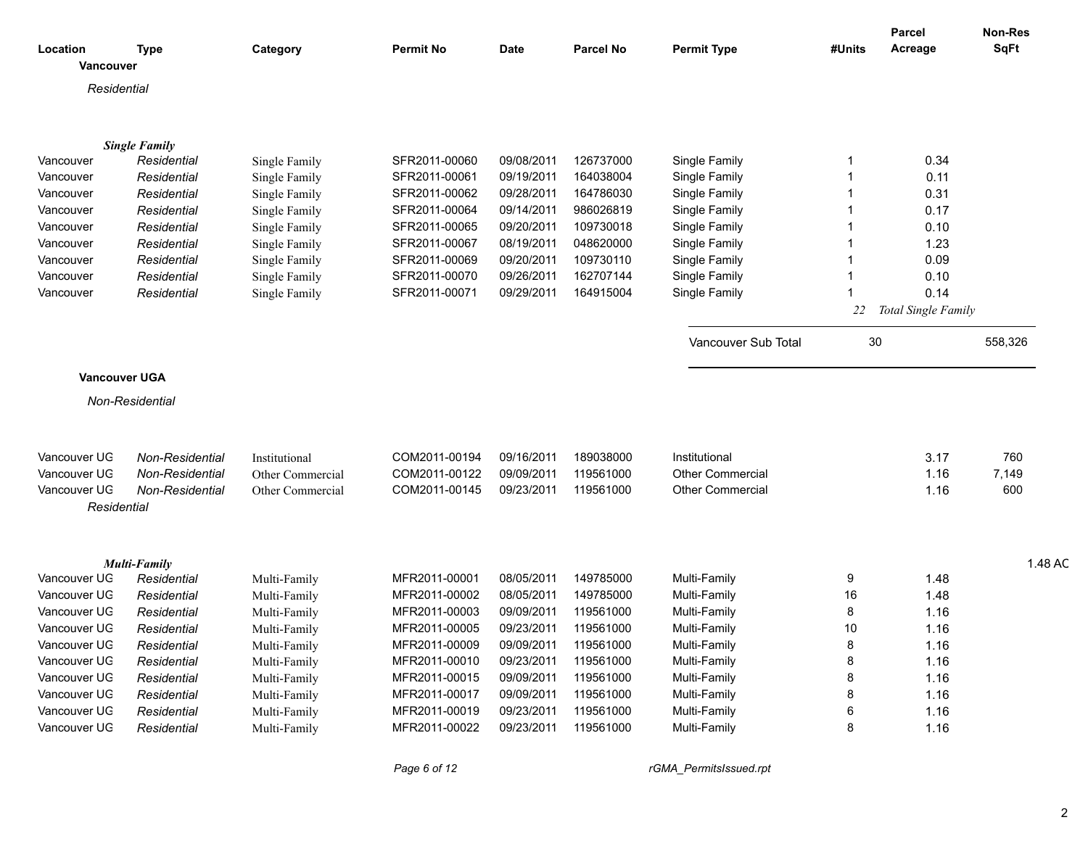|                          |                                     |                  |                                    |                      |                  |                         |                 | <b>Parcel</b>          | Non-Res     |
|--------------------------|-------------------------------------|------------------|------------------------------------|----------------------|------------------|-------------------------|-----------------|------------------------|-------------|
| Location<br>Vancouver    | <b>Type</b>                         | Category         | <b>Permit No</b>                   | Date                 | <b>Parcel No</b> | <b>Permit Type</b>      | #Units          | Acreage                | <b>SqFt</b> |
| Residential              |                                     |                  |                                    |                      |                  |                         |                 |                        |             |
|                          |                                     |                  |                                    |                      |                  |                         |                 |                        |             |
|                          |                                     |                  |                                    |                      |                  |                         |                 |                        |             |
| Vancouver                | <b>Single Family</b><br>Residential | Single Family    | SFR2011-00060                      | 09/08/2011           | 126737000        | Single Family           |                 | 0.34                   |             |
| Vancouver                | Residential                         | Single Family    | SFR2011-00061                      | 09/19/2011           | 164038004        | Single Family           |                 | 0.11                   |             |
| Vancouver                | Residential                         | Single Family    | SFR2011-00062                      | 09/28/2011           | 164786030        | Single Family           |                 | 0.31                   |             |
| Vancouver                | Residential                         | Single Family    | SFR2011-00064                      | 09/14/2011           | 986026819        | Single Family           |                 | 0.17                   |             |
| Vancouver                | Residential                         |                  | SFR2011-00065                      | 09/20/2011           | 109730018        | Single Family           |                 | 0.10                   |             |
|                          |                                     | Single Family    | SFR2011-00067                      | 08/19/2011           | 048620000        | Single Family           |                 |                        |             |
| Vancouver                | Residential                         | Single Family    | SFR2011-00069                      | 09/20/2011           | 109730110        |                         |                 | 1.23<br>0.09           |             |
| Vancouver                | Residential                         | Single Family    |                                    | 09/26/2011           | 162707144        | Single Family           |                 |                        |             |
| Vancouver                | Residential                         | Single Family    | SFR2011-00070                      |                      | 164915004        | Single Family           |                 | 0.10<br>0.14           |             |
| Vancouver                | Residential                         | Single Family    | SFR2011-00071                      | 09/29/2011           |                  | Single Family           |                 |                        |             |
|                          |                                     |                  |                                    |                      |                  |                         |                 | 22 Total Single Family |             |
|                          |                                     |                  |                                    |                      |                  | Vancouver Sub Total     | 30 <sub>o</sub> |                        | 558,326     |
|                          |                                     |                  |                                    |                      |                  |                         |                 |                        |             |
|                          |                                     |                  |                                    |                      |                  |                         |                 |                        |             |
|                          | <b>Vancouver UGA</b>                |                  |                                    |                      |                  |                         |                 |                        |             |
|                          | Non-Residential                     |                  |                                    |                      |                  |                         |                 |                        |             |
|                          |                                     |                  |                                    |                      |                  |                         |                 |                        |             |
|                          |                                     |                  |                                    |                      |                  |                         |                 |                        |             |
| Vancouver UG             | <b>Non-Residential</b>              | Institutional    | COM2011-00194                      | 09/16/2011           | 189038000        | Institutional           |                 | 3.17                   | 760         |
| Vancouver UG             | Non-Residential                     | Other Commercial | COM2011-00122                      | 09/09/201            | 119561000        | Other Commercial        |                 | 1.16                   | 7,149       |
| Vancouver UG             | Non-Residential                     | Other Commercial | COM2011-00145                      | 09/23/2011           | 119561000        | <b>Other Commercial</b> |                 | 1.16                   | 600         |
| Residential              |                                     |                  |                                    |                      |                  |                         |                 |                        |             |
|                          |                                     |                  |                                    |                      |                  |                         |                 |                        |             |
|                          |                                     |                  |                                    |                      |                  |                         |                 |                        |             |
|                          |                                     |                  |                                    |                      |                  |                         |                 |                        |             |
|                          | <b>Multi-Family</b>                 |                  |                                    |                      |                  |                         |                 |                        | 1.48 AC     |
| Vancouver UG             | Residential                         | Multi-Family     | MFR2011-00001                      | 08/05/2011           | 149785000        | Multi-Family            | -9              | 1.48                   |             |
| Vancouver UG             | Residential                         | Multi-Family     | MFR2011-00002                      | 08/05/2011           | 149785000        | Multi-Family            | 16              | 1.48                   |             |
| Vancouver UG             | Residential                         | Multi-Family     | MFR2011-00003                      | 09/09/2011           | 119561000        | Multi-Family            |                 | 1.16                   |             |
| Vancouver UG             | Residential                         | Multi-Family     | MFR2011-00005                      | 09/23/2011           | 119561000        | Multi-Family            | 10              | 1.16                   |             |
| Vancouver UG Residential |                                     | Multi-Family     | MFR2011-00009                      | 09/09/2011 119561000 |                  | Multi-Family            |                 | 1.16                   |             |
| Vancouver UG             | Residential                         | Multi-Family     | MFR2011-00010                      | 09/23/2011           | 119561000        | Multi-Family            |                 | 1.16                   |             |
| Vancouver UG             | Residential                         | Multi-Family     | MFR2011-00015 09/09/2011           |                      | 119561000        | Multi-Family            |                 | 1.16                   |             |
| Vancouver UG             | Residential                         | Multi-Family     | MFR2011-00017 09/09/2011 119561000 |                      |                  | Multi-Family            |                 | 1.16                   |             |
| Vancouver UG             | Residential                         | Multi-Family     | MFR2011-00019                      | 09/23/2011           | 119561000        | Multi-Family            |                 | 1.16                   |             |
| Vancouver UG             | Residential                         | Multi-Family     | MFR2011-00022                      | 09/23/2011 119561000 |                  | Multi-Family            |                 | 1.16                   |             |
|                          |                                     |                  |                                    |                      |                  |                         |                 |                        |             |

*Page 6 of 12 rGMA\_PermitsIssued.rpt*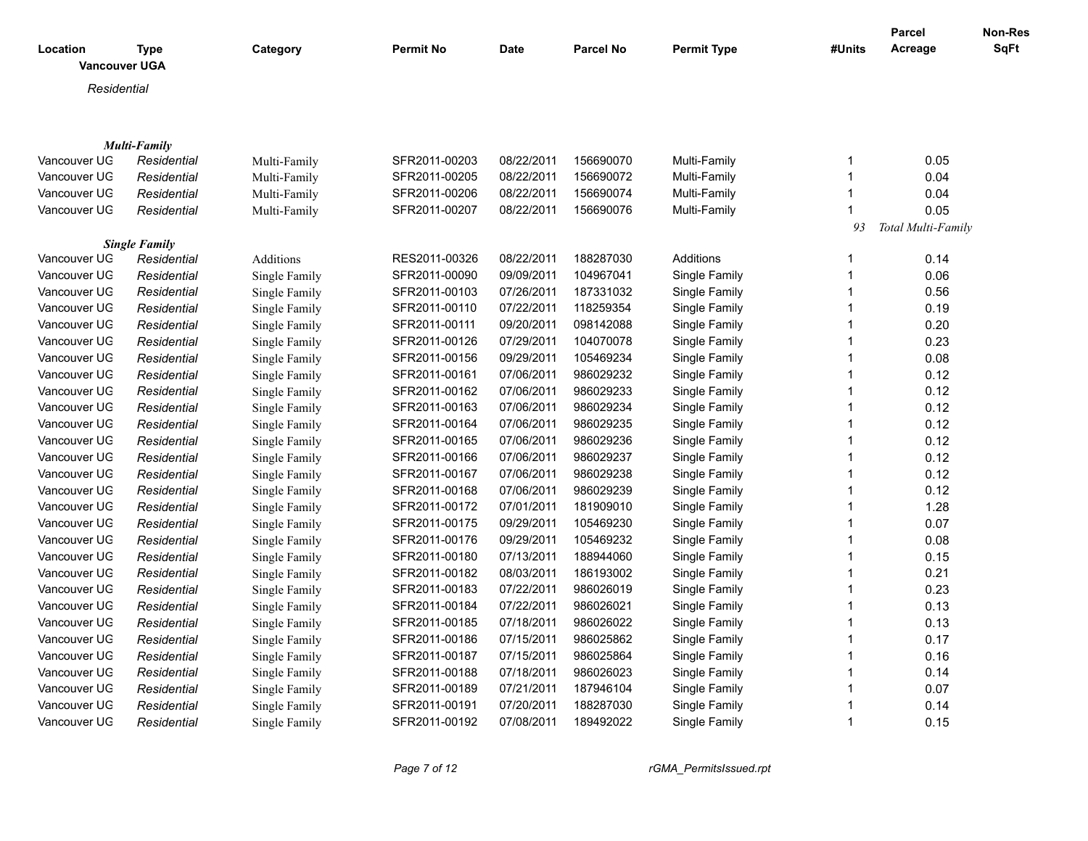| Location             | <b>Type</b>          | Category      | <b>Permit No</b> | <b>Date</b> | <b>Parcel No</b> | <b>Permit Type</b> | #Units         | Parcel<br>Acreage  | Non-Res<br><b>SqFt</b> |
|----------------------|----------------------|---------------|------------------|-------------|------------------|--------------------|----------------|--------------------|------------------------|
| <b>Vancouver UGA</b> |                      |               |                  |             |                  |                    |                |                    |                        |
| Residential          |                      |               |                  |             |                  |                    |                |                    |                        |
|                      |                      |               |                  |             |                  |                    |                |                    |                        |
|                      | <b>Multi-Family</b>  |               |                  |             |                  |                    |                |                    |                        |
| Vancouver UG         | Residential          | Multi-Family  | SFR2011-00203    | 08/22/2011  | 156690070        | Multi-Family       | $\mathbf 1$    | 0.05               |                        |
| Vancouver UG         | Residential          | Multi-Family  | SFR2011-00205    | 08/22/2011  | 156690072        | Multi-Family       | $\mathbf{1}$   | 0.04               |                        |
| Vancouver UG         | Residential          | Multi-Family  | SFR2011-00206    | 08/22/2011  | 156690074        | Multi-Family       | $\mathbf{1}$   | 0.04               |                        |
| Vancouver UG         | Residential          | Multi-Family  | SFR2011-00207    | 08/22/2011  | 156690076        | Multi-Family       | $\mathbf 1$    | 0.05               |                        |
|                      |                      |               |                  |             |                  |                    | 93             | Total Multi-Family |                        |
|                      | <b>Single Family</b> |               |                  |             |                  |                    |                |                    |                        |
| Vancouver UG         | Residential          | Additions     | RES2011-00326    | 08/22/2011  | 188287030        | Additions          | $\mathbf{1}$   | 0.14               |                        |
| Vancouver UG         | Residential          | Single Family | SFR2011-00090    | 09/09/2011  | 104967041        | Single Family      | $\mathbf{1}$   | 0.06               |                        |
| Vancouver UG         | Residential          | Single Family | SFR2011-00103    | 07/26/2011  | 187331032        | Single Family      | $\mathbf{1}$   | 0.56               |                        |
| Vancouver UG         | Residential          | Single Family | SFR2011-00110    | 07/22/2011  | 118259354        | Single Family      | $\mathbf{1}$   | 0.19               |                        |
| Vancouver UG         | Residential          | Single Family | SFR2011-00111    | 09/20/2011  | 098142088        | Single Family      | $\mathbf{1}$   | 0.20               |                        |
| Vancouver UG         | Residential          | Single Family | SFR2011-00126    | 07/29/2011  | 104070078        | Single Family      | $\mathbf{1}$   | 0.23               |                        |
| Vancouver UG         | Residential          | Single Family | SFR2011-00156    | 09/29/2011  | 105469234        | Single Family      | $\mathbf 1$    | 0.08               |                        |
| Vancouver UG         | Residential          | Single Family | SFR2011-00161    | 07/06/2011  | 986029232        | Single Family      | $\mathbf{1}$   | 0.12               |                        |
| Vancouver UG         | Residential          | Single Family | SFR2011-00162    | 07/06/2011  | 986029233        | Single Family      | $\mathbf{1}$   | 0.12               |                        |
| Vancouver UG         | Residential          | Single Family | SFR2011-00163    | 07/06/2011  | 986029234        | Single Family      | $\mathbf{1}$   | 0.12               |                        |
| Vancouver UG         | Residential          | Single Family | SFR2011-00164    | 07/06/2011  | 986029235        | Single Family      | $\mathbf{1}$   | 0.12               |                        |
| Vancouver UG         | Residential          | Single Family | SFR2011-00165    | 07/06/2011  | 986029236        | Single Family      | $\mathbf{1}$   | 0.12               |                        |
| Vancouver UG         | Residential          | Single Family | SFR2011-00166    | 07/06/2011  | 986029237        | Single Family      | $\mathbf{1}$   | 0.12               |                        |
| Vancouver UG         | Residential          | Single Family | SFR2011-00167    | 07/06/2011  | 986029238        | Single Family      | $\mathbf{1}$   | 0.12               |                        |
| Vancouver UG         | Residential          | Single Family | SFR2011-00168    | 07/06/2011  | 986029239        | Single Family      | $\mathbf{1}$   | 0.12               |                        |
| Vancouver UG         | Residential          | Single Family | SFR2011-00172    | 07/01/2011  | 181909010        | Single Family      | $\mathbf{1}$   | 1.28               |                        |
| Vancouver UG         | Residential          | Single Family | SFR2011-00175    | 09/29/2011  | 105469230        | Single Family      | $\mathbf{1}$   | 0.07               |                        |
| Vancouver UG         | Residential          | Single Family | SFR2011-00176    | 09/29/2011  | 105469232        | Single Family      | $\mathbf{1}$   | 0.08               |                        |
| Vancouver UG         | Residential          | Single Family | SFR2011-00180    | 07/13/2011  | 188944060        | Single Family      | $\mathbf{1}$   | 0.15               |                        |
| Vancouver UG         | Residential          | Single Family | SFR2011-00182    | 08/03/2011  | 186193002        | Single Family      | $\mathbf 1$    | 0.21               |                        |
| Vancouver UG         | Residential          | Single Family | SFR2011-00183    | 07/22/2011  | 986026019        | Single Family      | $\mathbf{1}$   | 0.23               |                        |
| Vancouver UG         | Residential          | Single Family | SFR2011-00184    | 07/22/2011  | 986026021        | Single Family      | $\mathbf{1}$   | 0.13               |                        |
| Vancouver UG         | Residential          | Single Family | SFR2011-00185    | 07/18/2011  | 986026022        | Single Family      | $\mathbf{1}$   | 0.13               |                        |
| Vancouver UG         | Residential          | Single Family | SFR2011-00186    | 07/15/2011  | 986025862        | Single Family      | $\mathbf{1}$   | 0.17               |                        |
| Vancouver UG         | Residential          | Single Family | SFR2011-00187    | 07/15/2011  | 986025864        | Single Family      | $\mathbf 1$    | 0.16               |                        |
| Vancouver UG         | Residential          | Single Family | SFR2011-00188    | 07/18/2011  | 986026023        | Single Family      | $\mathbf 1$    | 0.14               |                        |
| Vancouver UG         | Residential          | Single Family | SFR2011-00189    | 07/21/2011  | 187946104        | Single Family      | $\overline{1}$ | 0.07               |                        |
| Vancouver UG         | Residential          | Single Family | SFR2011-00191    | 07/20/2011  | 188287030        | Single Family      | $\mathbf 1$    | 0.14               |                        |
| Vancouver UG         | Residential          | Single Family | SFR2011-00192    | 07/08/2011  | 189492022        | Single Family      | $\mathbf 1$    | 0.15               |                        |
|                      |                      |               |                  |             |                  |                    |                |                    |                        |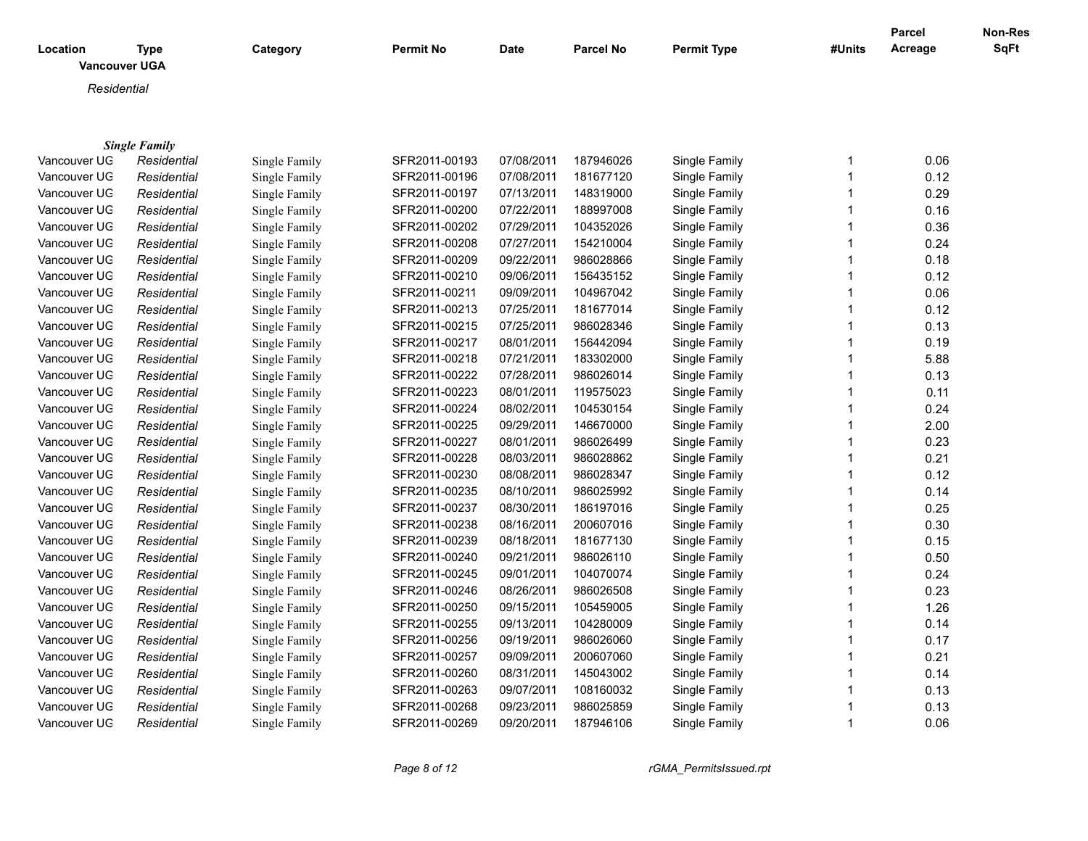|              |                                     |               |                  |             |                  |                    |              | <b>Parcel</b> | Non-Res |
|--------------|-------------------------------------|---------------|------------------|-------------|------------------|--------------------|--------------|---------------|---------|
| Location     | <b>Type</b><br><b>Vancouver UGA</b> | Category      | <b>Permit No</b> | <b>Date</b> | <b>Parcel No</b> | <b>Permit Type</b> | #Units       | Acreage       | SqFt    |
|              |                                     |               |                  |             |                  |                    |              |               |         |
| Residential  |                                     |               |                  |             |                  |                    |              |               |         |
|              |                                     |               |                  |             |                  |                    |              |               |         |
|              |                                     |               |                  |             |                  |                    |              |               |         |
|              | <b>Single Family</b>                |               |                  |             |                  |                    |              |               |         |
| Vancouver UG | Residential                         | Single Family | SFR2011-00193    | 07/08/2011  | 187946026        | Single Family      | 1            | 0.06          |         |
| Vancouver UG | Residential                         | Single Family | SFR2011-00196    | 07/08/2011  | 181677120        | Single Family      | $\mathbf{1}$ | 0.12          |         |
| Vancouver UG | Residential                         | Single Family | SFR2011-00197    | 07/13/2011  | 148319000        | Single Family      | 1            | 0.29          |         |
| Vancouver UG | Residential                         | Single Family | SFR2011-00200    | 07/22/2011  | 188997008        | Single Family      | 1            | 0.16          |         |
| Vancouver UG | Residential                         | Single Family | SFR2011-00202    | 07/29/2011  | 104352026        | Single Family      | $\mathbf{1}$ | 0.36          |         |
| Vancouver UG | Residential                         | Single Family | SFR2011-00208    | 07/27/2011  | 154210004        | Single Family      | 1            | 0.24          |         |
| Vancouver UG | Residential                         | Single Family | SFR2011-00209    | 09/22/2011  | 986028866        | Single Family      | 1            | 0.18          |         |
| Vancouver UG | Residential                         | Single Family | SFR2011-00210    | 09/06/2011  | 156435152        | Single Family      | 1            | 0.12          |         |
| Vancouver UG | Residential                         | Single Family | SFR2011-00211    | 09/09/2011  | 104967042        | Single Family      | $\mathbf{1}$ | 0.06          |         |
| Vancouver UG | Residential                         | Single Family | SFR2011-00213    | 07/25/2011  | 181677014        | Single Family      | 1            | 0.12          |         |
| Vancouver UG | Residential                         | Single Family | SFR2011-00215    | 07/25/2011  | 986028346        | Single Family      | $\mathbf{1}$ | 0.13          |         |
| Vancouver UG | Residential                         | Single Family | SFR2011-00217    | 08/01/2011  | 156442094        | Single Family      | $\mathbf{1}$ | 0.19          |         |
| Vancouver UG | Residential                         | Single Family | SFR2011-00218    | 07/21/2011  | 183302000        | Single Family      | $\mathbf{1}$ | 5.88          |         |
| Vancouver UG | Residential                         | Single Family | SFR2011-00222    | 07/28/2011  | 986026014        | Single Family      | $\mathbf{1}$ | 0.13          |         |
| Vancouver UG | Residential                         | Single Family | SFR2011-00223    | 08/01/2011  | 119575023        | Single Family      | 1            | 0.11          |         |
| Vancouver UG | Residential                         | Single Family | SFR2011-00224    | 08/02/2011  | 104530154        | Single Family      | $\mathbf{1}$ | 0.24          |         |
| Vancouver UG | Residential                         | Single Family | SFR2011-00225    | 09/29/2011  | 146670000        | Single Family      | $\mathbf{1}$ | 2.00          |         |
| Vancouver UG | Residential                         | Single Family | SFR2011-00227    | 08/01/2011  | 986026499        | Single Family      | $\mathbf{1}$ | 0.23          |         |
| Vancouver UG | Residential                         | Single Family | SFR2011-00228    | 08/03/2011  | 986028862        | Single Family      | 1            | 0.21          |         |
| Vancouver UG | Residential                         | Single Family | SFR2011-00230    | 08/08/2011  | 986028347        | Single Family      | $\mathbf{1}$ | 0.12          |         |
| Vancouver UG | Residential                         | Single Family | SFR2011-00235    | 08/10/2011  | 986025992        | Single Family      | $\mathbf{1}$ | 0.14          |         |
| Vancouver UG | Residential                         | Single Family | SFR2011-00237    | 08/30/2011  | 186197016        | Single Family      | $\mathbf{1}$ | 0.25          |         |
| Vancouver UG | Residential                         | Single Family | SFR2011-00238    | 08/16/2011  | 200607016        | Single Family      | 1            | 0.30          |         |
| Vancouver UG | Residential                         | Single Family | SFR2011-00239    | 08/18/2011  | 181677130        | Single Family      | $\mathbf{1}$ | 0.15          |         |
| Vancouver UG | Residential                         | Single Family | SFR2011-00240    | 09/21/2011  | 986026110        | Single Family      | $\mathbf{1}$ | 0.50          |         |
| Vancouver UG | Residential                         | Single Family | SFR2011-00245    | 09/01/2011  | 104070074        | Single Family      | $\mathbf{1}$ | 0.24          |         |
| Vancouver UG | Residential                         | Single Family | SFR2011-00246    | 08/26/2011  | 986026508        | Single Family      | 1            | 0.23          |         |
| Vancouver UG | Residential                         | Single Family | SFR2011-00250    | 09/15/2011  | 105459005        | Single Family      | $\mathbf{1}$ | 1.26          |         |
| Vancouver UG | Residential                         | Single Family | SFR2011-00255    | 09/13/2011  | 104280009        | Single Family      | 1            | 0.14          |         |
|              |                                     |               |                  |             | 986026060        | Single Family      | $\mathbf{1}$ |               |         |
| Vancouver UG | Residential                         | Single Family | SFR2011-00256    | 09/19/2011  | 200607060        | Single Family      | 1            | 0.17<br>0.21  |         |
| Vancouver UG | Residential                         | Single Family | SFR2011-00257    | 09/09/2011  |                  |                    | $\mathbf{1}$ |               |         |
| Vancouver UG | Residential                         | Single Family | SFR2011-00260    | 08/31/2011  | 145043002        | Single Family      | 1            | 0.14          |         |
| Vancouver UG | Residential                         | Single Family | SFR2011-00263    | 09/07/2011  | 108160032        | Single Family      |              | 0.13          |         |
| Vancouver UG | Residential                         | Single Family | SFR2011-00268    | 09/23/2011  | 986025859        | Single Family      | 1            | 0.13          |         |
| Vancouver UG | Residential                         | Single Family | SFR2011-00269    | 09/20/2011  | 187946106        | Single Family      | $\mathbf{1}$ | 0.06          |         |

*Page 8 of 12 rGMA\_PermitsIssued.rpt*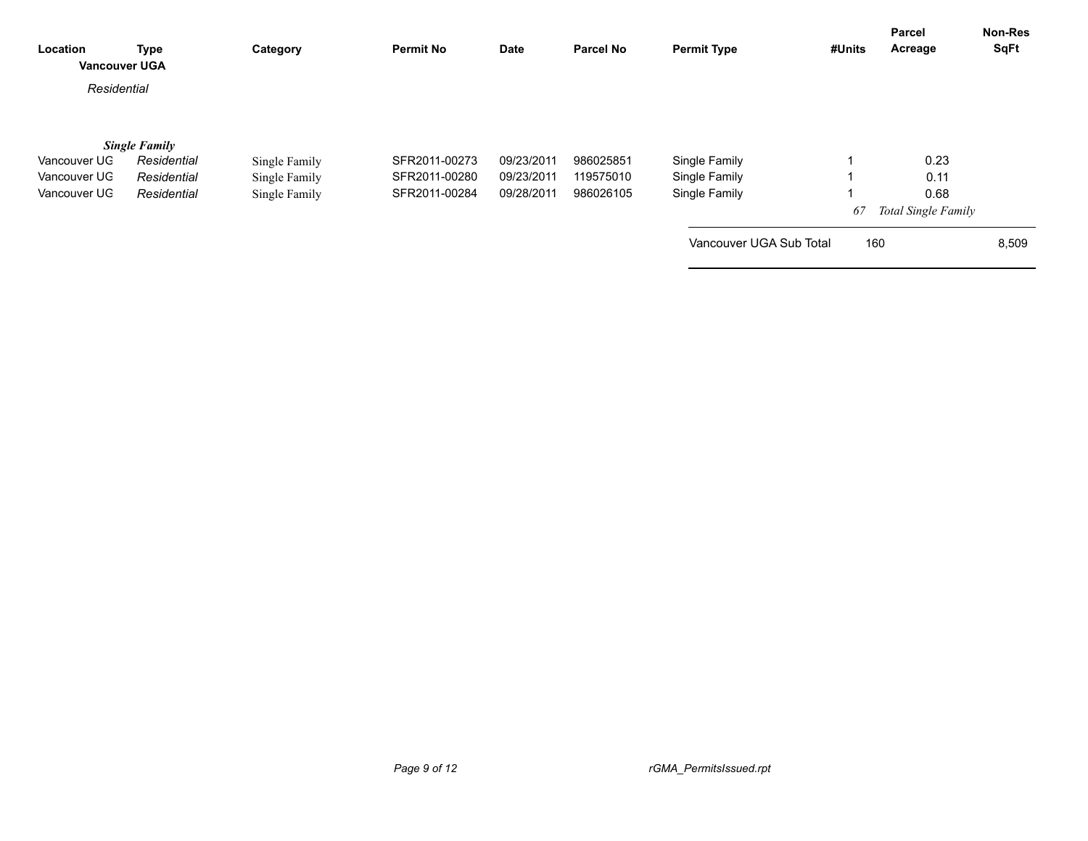| Location<br><b>Vancouver UGA</b> | <b>Type</b>          | Category      | <b>Permit No</b> | Date       | <b>Parcel No</b> | <b>Permit Type</b>      | #Units | Parcel<br>Acreage   | Non-Res<br><b>SqFt</b> |
|----------------------------------|----------------------|---------------|------------------|------------|------------------|-------------------------|--------|---------------------|------------------------|
| Residential                      |                      |               |                  |            |                  |                         |        |                     |                        |
|                                  | <b>Single Family</b> |               |                  |            |                  |                         |        |                     |                        |
| Vancouver UG                     | Residential          | Single Family | SFR2011-00273    | 09/23/2011 | 986025851        | Single Family           |        | 0.23                |                        |
| Vancouver UG                     | Residential          | Single Family | SFR2011-00280    | 09/23/2011 | 119575010        | Single Family           |        | 0.11                |                        |
| Vancouver UG                     | Residential          | Single Family | SFR2011-00284    | 09/28/2011 | 986026105        | Single Family           |        | 0.68                |                        |
|                                  |                      |               |                  |            |                  |                         | 67     | Total Single Family |                        |
|                                  |                      |               |                  |            |                  | Vancouver UGA Sub Total | 160    |                     | 8,509                  |
|                                  |                      |               |                  |            |                  |                         |        |                     |                        |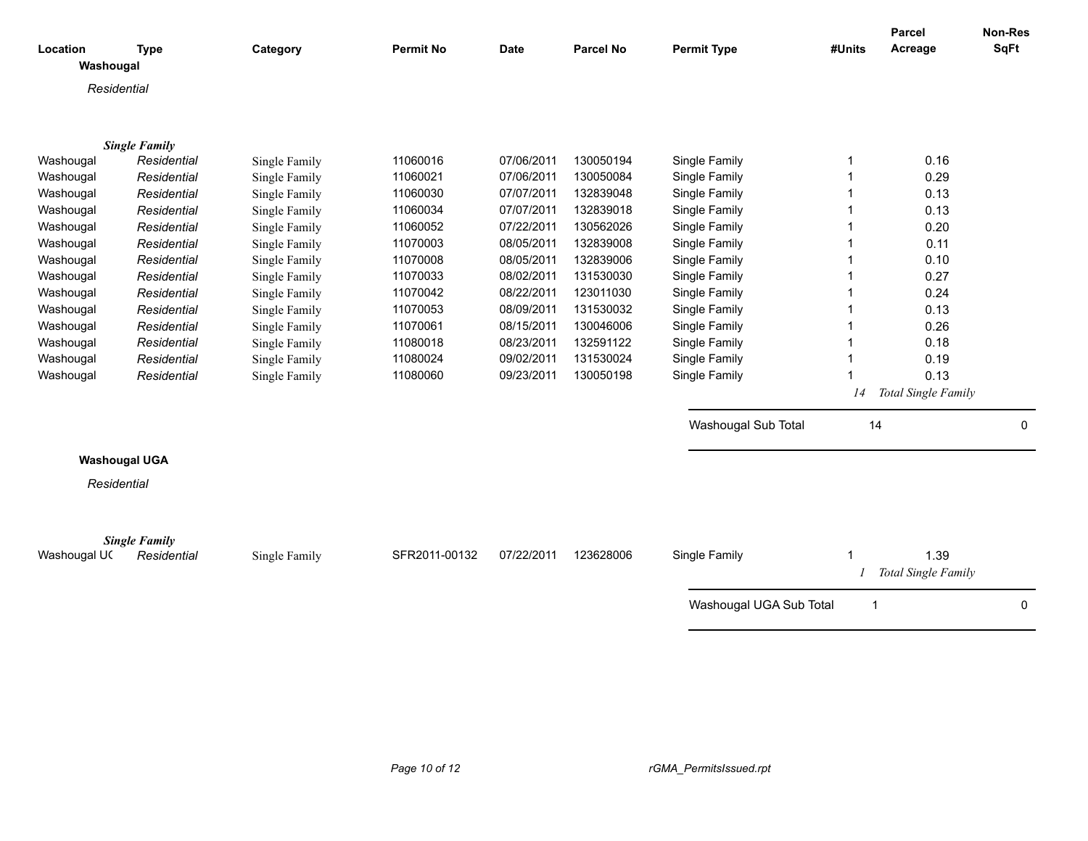| Location     | <b>Type</b>                         | Category      | <b>Permit No</b> | <b>Date</b> | <b>Parcel No</b> | <b>Permit Type</b>      | #Units      | Parcel<br>Acreage   | Non-Res<br><b>SqFt</b> |
|--------------|-------------------------------------|---------------|------------------|-------------|------------------|-------------------------|-------------|---------------------|------------------------|
| Washougal    |                                     |               |                  |             |                  |                         |             |                     |                        |
|              | Residential                         |               |                  |             |                  |                         |             |                     |                        |
|              |                                     |               |                  |             |                  |                         |             |                     |                        |
|              | <b>Single Family</b>                |               |                  |             |                  |                         |             |                     |                        |
| Washougal    | Residential                         | Single Family | 11060016         | 07/06/2011  | 130050194        | Single Family           | 1           | 0.16                |                        |
| Washougal    | Residential                         | Single Family | 11060021         | 07/06/2011  | 130050084        | Single Family           | 1           | 0.29                |                        |
| Washougal    | Residential                         | Single Family | 11060030         | 07/07/2011  | 132839048        | Single Family           | 1           | 0.13                |                        |
| Washougal    | Residential                         | Single Family | 11060034         | 07/07/2011  | 132839018        | Single Family           |             | 0.13                |                        |
| Washougal    | Residential                         | Single Family | 11060052         | 07/22/2011  | 130562026        | Single Family           |             | 0.20                |                        |
| Washougal    | Residential                         | Single Family | 11070003         | 08/05/2011  | 132839008        | Single Family           |             | 0.11                |                        |
| Washougal    | Residential                         | Single Family | 11070008         | 08/05/2011  | 132839006        | Single Family           |             | 0.10                |                        |
| Washougal    | Residential                         | Single Family | 11070033         | 08/02/2011  | 131530030        | Single Family           |             | 0.27                |                        |
| Washougal    | Residential                         | Single Family | 11070042         | 08/22/2011  | 123011030        | Single Family           |             | 0.24                |                        |
| Washougal    | Residential                         | Single Family | 11070053         | 08/09/2011  | 131530032        | Single Family           |             | 0.13                |                        |
| Washougal    | Residential                         | Single Family | 11070061         | 08/15/2011  | 130046006        | Single Family           |             | 0.26                |                        |
| Washougal    | Residential                         | Single Family | 11080018         | 08/23/2011  | 132591122        | Single Family           |             | 0.18                |                        |
| Washougal    | Residential                         | Single Family | 11080024         | 09/02/2011  | 131530024        | Single Family           |             | 0.19                |                        |
| Washougal    | Residential                         | Single Family | 11080060         | 09/23/2011  | 130050198        | Single Family           |             | 0.13                |                        |
|              |                                     |               |                  |             |                  |                         | 14          | Total Single Family |                        |
|              |                                     |               |                  |             |                  | Washougal Sub Total     | 14          |                     | 0                      |
|              | <b>Washougal UGA</b>                |               |                  |             |                  |                         |             |                     |                        |
|              | Residential                         |               |                  |             |                  |                         |             |                     |                        |
|              |                                     |               |                  |             |                  |                         |             |                     |                        |
|              |                                     |               |                  |             |                  |                         |             |                     |                        |
| Washougal UC | <b>Single Family</b><br>Residential | Single Family | SFR2011-00132    | 07/22/2011  | 123628006        | Single Family           |             | 1.39                |                        |
|              |                                     |               |                  |             |                  |                         |             | Total Single Family |                        |
|              |                                     |               |                  |             |                  | Washougal UGA Sub Total | $\mathbf 1$ |                     | 0                      |
|              |                                     |               |                  |             |                  |                         |             |                     |                        |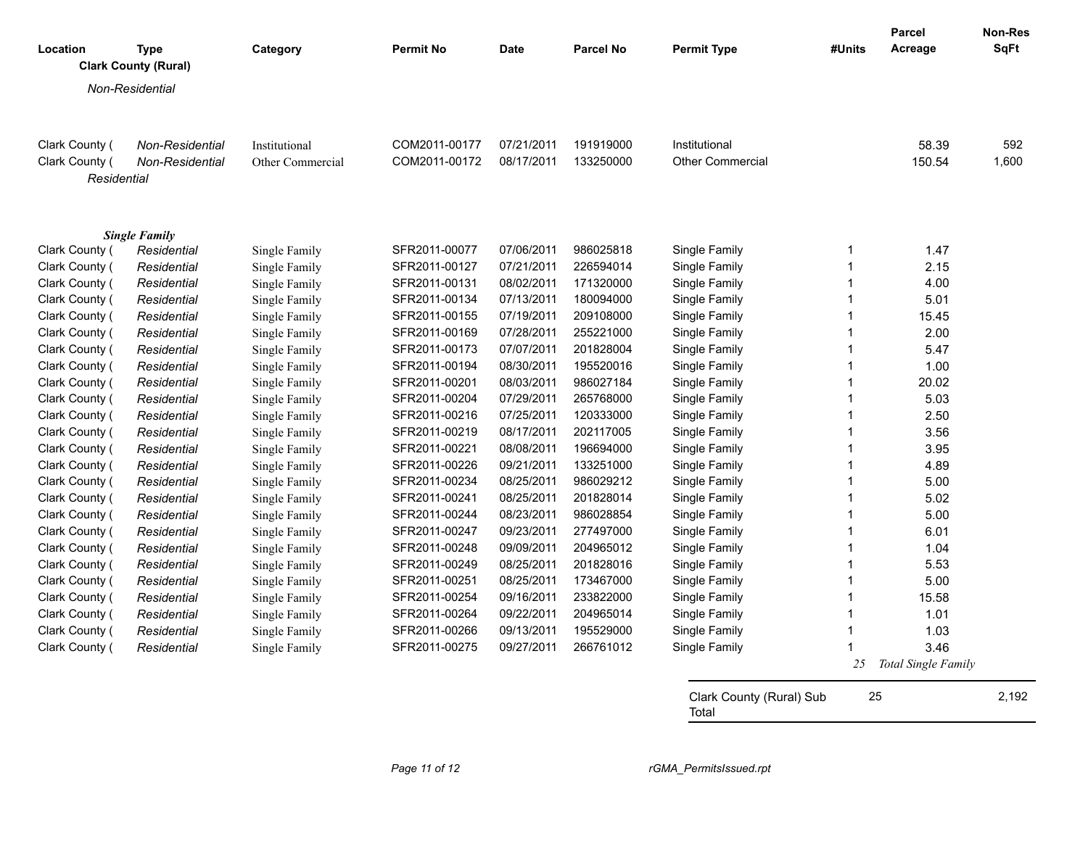| Location       | <b>Type</b>                 | Category         | <b>Permit No</b> | <b>Date</b> | <b>Parcel No</b> | <b>Permit Type</b>                | #Units      | <b>Parcel</b><br>Acreage | Non-Res<br><b>SqFt</b> |
|----------------|-----------------------------|------------------|------------------|-------------|------------------|-----------------------------------|-------------|--------------------------|------------------------|
|                | <b>Clark County (Rural)</b> |                  |                  |             |                  |                                   |             |                          |                        |
|                | Non-Residential             |                  |                  |             |                  |                                   |             |                          |                        |
|                |                             |                  |                  |             |                  |                                   |             |                          |                        |
| Clark County ( | Non-Residential             | Institutional    | COM2011-00177    | 07/21/2011  | 191919000        | Institutional                     |             | 58.39                    | 592                    |
| Clark County ( | Non-Residential             | Other Commercial | COM2011-00172    | 08/17/2011  | 133250000        | <b>Other Commercial</b>           |             | 150.54                   | 1,600                  |
| Residential    |                             |                  |                  |             |                  |                                   |             |                          |                        |
|                | <b>Single Family</b>        |                  |                  |             |                  |                                   |             |                          |                        |
| Clark County ( | Residential                 | Single Family    | SFR2011-00077    | 07/06/2011  | 986025818        | Single Family                     | 1           | 1.47                     |                        |
| Clark County ( | Residential                 | Single Family    | SFR2011-00127    | 07/21/2011  | 226594014        | Single Family                     | $\mathbf 1$ | 2.15                     |                        |
| Clark County ( | Residential                 | Single Family    | SFR2011-00131    | 08/02/2011  | 171320000        | Single Family                     | 1           | 4.00                     |                        |
| Clark County ( | Residential                 | Single Family    | SFR2011-00134    | 07/13/2011  | 180094000        | Single Family                     | 1           | 5.01                     |                        |
| Clark County ( | Residential                 | Single Family    | SFR2011-00155    | 07/19/2011  | 209108000        | Single Family                     | 1           | 15.45                    |                        |
| Clark County ( | Residential                 | Single Family    | SFR2011-00169    | 07/28/2011  | 255221000        | Single Family                     | 1           | 2.00                     |                        |
| Clark County ( | Residential                 | Single Family    | SFR2011-00173    | 07/07/2011  | 201828004        | Single Family                     | 1           | 5.47                     |                        |
| Clark County ( | Residential                 | Single Family    | SFR2011-00194    | 08/30/2011  | 195520016        | Single Family                     | $\mathbf 1$ | 1.00                     |                        |
| Clark County ( | Residential                 | Single Family    | SFR2011-00201    | 08/03/2011  | 986027184        | Single Family                     | 1           | 20.02                    |                        |
| Clark County ( | Residential                 | Single Family    | SFR2011-00204    | 07/29/2011  | 265768000        | Single Family                     | 1           | 5.03                     |                        |
| Clark County ( | Residential                 | Single Family    | SFR2011-00216    | 07/25/2011  | 120333000        | Single Family                     | 1           | 2.50                     |                        |
| Clark County ( | Residential                 | Single Family    | SFR2011-00219    | 08/17/2011  | 202117005        | Single Family                     | $\mathbf 1$ | 3.56                     |                        |
| Clark County ( | Residential                 | Single Family    | SFR2011-00221    | 08/08/2011  | 196694000        | Single Family                     | 1           | 3.95                     |                        |
| Clark County ( | Residential                 | Single Family    | SFR2011-00226    | 09/21/2011  | 133251000        | Single Family                     | $\mathbf 1$ | 4.89                     |                        |
| Clark County ( | Residential                 | Single Family    | SFR2011-00234    | 08/25/2011  | 986029212        | Single Family                     | 1           | 5.00                     |                        |
| Clark County ( | Residential                 | Single Family    | SFR2011-00241    | 08/25/2011  | 201828014        | Single Family                     | 1           | 5.02                     |                        |
| Clark County ( | Residential                 | Single Family    | SFR2011-00244    | 08/23/2011  | 986028854        | Single Family                     | 1           | 5.00                     |                        |
| Clark County ( | Residential                 | Single Family    | SFR2011-00247    | 09/23/2011  | 277497000        | Single Family                     | 1           | 6.01                     |                        |
| Clark County ( | Residential                 | Single Family    | SFR2011-00248    | 09/09/2011  | 204965012        | Single Family                     | 1           | 1.04                     |                        |
| Clark County ( | Residential                 | Single Family    | SFR2011-00249    | 08/25/2011  | 201828016        | Single Family                     | 1           | 5.53                     |                        |
| Clark County ( | Residential                 | Single Family    | SFR2011-00251    | 08/25/2011  | 173467000        | Single Family                     | 1           | 5.00                     |                        |
| Clark County ( | Residential                 | Single Family    | SFR2011-00254    | 09/16/2011  | 233822000        | Single Family                     | 1           | 15.58                    |                        |
| Clark County ( | Residential                 | Single Family    | SFR2011-00264    | 09/22/2011  | 204965014        | Single Family                     | 1           | 1.01                     |                        |
| Clark County ( | Residential                 | Single Family    | SFR2011-00266    | 09/13/2011  | 195529000        | Single Family                     | 1           | 1.03                     |                        |
| Clark County ( | Residential                 | Single Family    | SFR2011-00275    | 09/27/2011  | 266761012        | Single Family                     |             | 3.46                     |                        |
|                |                             |                  |                  |             |                  |                                   | 25          | Total Single Family      |                        |
|                |                             |                  |                  |             |                  | Clark County (Rural) Sub<br>Total | 25          |                          | 2,192                  |